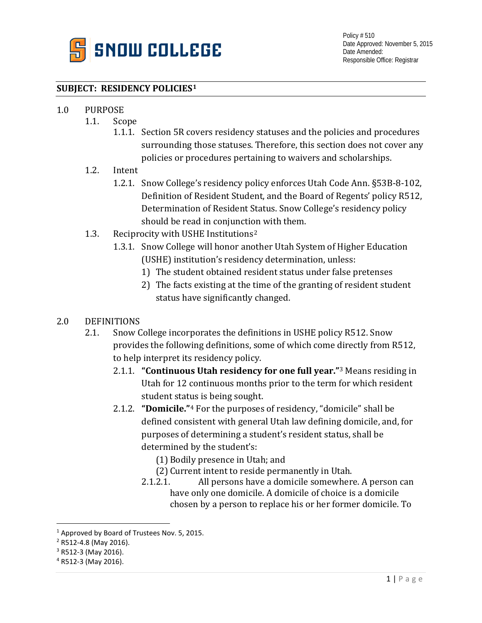

### **SUBJECT: RESIDENCY POLICIES[1](#page-0-0)**

# 1.0 PURPOSE<br>1.1. Scc

- Scope
	- 1.1.1. Section 5R covers residency statuses and the policies and procedures surrounding those statuses. Therefore, this section does not cover any policies or procedures pertaining to waivers and scholarships.
- 1.2. Intent
	- 1.2.1. Snow College's residency policy enforces Utah Code Ann. §53B-8-102, Definition of Resident Student, and the Board of Regents' policy R512, Determination of Resident Status. Snow College's residency policy should be read in conjunction with them.
- 1.3. Reciprocity with USHE Institutions[2](#page-0-1)
	- 1.3.1. Snow College will honor another Utah System of Higher Education (USHE) institution's residency determination, unless:
		- 1) The student obtained resident status under false pretenses
		- 2) The facts existing at the time of the granting of resident student status have significantly changed.

# 2.0 DEFINITIONS<br>2.1. Snow C

- 2.1. Snow College incorporates the definitions in USHE policy R512. Snow provides the following definitions, some of which come directly from R512, to help interpret its residency policy.
	- 2.1.1. **"Continuous Utah residency for one full year."**[3](#page-0-2) Means residing in Utah for 12 continuous months prior to the term for which resident student stat[u](#page-0-3)s is being sought.
	- 2.1.2. **"Domicile."**<sup>4</sup> For the purposes of residency, "domicile" shall be defined consistent with general Utah law defining domicile, and, for purposes of determining a student's resident status, shall be determined by the student's:
		- (1) Bodily presence in Utah; and
		- (2) Current intent to reside permanently in Utah.<br>2.1.2.1. All persons have a domicile somewhere
		- All persons have a domicile somewhere. A person can have only one domicile. A domicile of choice is a domicile chosen by a person to replace his or her former domicile. To

<span id="page-0-0"></span><sup>&</sup>lt;sup>1</sup> Approved by Board of Trustees Nov. 5, 2015.

<span id="page-0-1"></span><sup>2</sup> R512-4.8 (May 2016).

<span id="page-0-2"></span><sup>3</sup> R512-3 (May 2016).

<span id="page-0-3"></span><sup>4</sup> R512-3 (May 2016).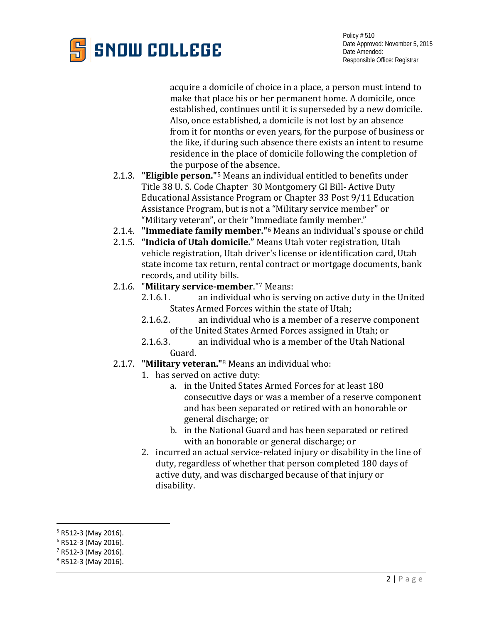

acquire a domicile of choice in a place, a person must intend to make that place his or her permanent home. A domicile, once established, continues until it is superseded by a new domicile. Also, once established, a domicile is not lost by an absence from it for months or even years, for the purpose of business or the like, if during such absence there exists an intent to resume residence in the place of domicile following the completion of the purpos[e o](#page-1-0)f the absence.

- 2.1.3. **"Eligible person."**<sup>5</sup> Means an individual entitled to benefits under Title 38 U. S. Code Chapter 30 Montgomery GI Bill- Active Duty Educational Assistance Program or Chapter 33 Post 9/11 Education Assistance Program, but is not a "Military service member" or "Military veteran", or their "Im[m](#page-1-1)ediate family member."
- 2.1.4. **"Immediate family member."**<sup>6</sup> Means an individual's spouse or child
- 2.1.5. **"Indicia of Utah domicile."** Means Utah voter registration, Utah vehicle registration, Utah driver's license or identification card, Utah state income tax return, rental contract or mortgage documents, bank records, and utility bills.
- 2.1.6. "**Military service-member**."[7](#page-1-2) Means:
	- an individual who is serving on active duty in the United States Armed Forces within the state of Utah;<br>2.1.6.2. an individual who is a member of a res
	- an individual who is a member of a reserve component of the United States Armed Forces assigned in Utah; or<br>2.1.6.3. an individual who is a member of the Utah National
	- an individual who is a member of the Utah National Guard.
- 2.1.7. **"Military veteran."**<sup>8</sup> Means an individual who:
	- 1. has served on ac[ti](#page-1-3)ve duty:
		- a. in the United States Armed Forces for at least 180 consecutive days or was a member of a reserve component and has been separated or retired with an honorable or general discharge; or
		- b. in the National Guard and has been separated or retired with an honorable or general discharge; or
	- 2. incurred an actual service-related injury or disability in the line of duty, regardless of whether that person completed 180 days of active duty, and was discharged because of that injury or disability.

<span id="page-1-0"></span> <sup>5</sup> R512-3 (May 2016).

<span id="page-1-1"></span><sup>6</sup> R512-3 (May 2016).

<span id="page-1-2"></span> $7$  R512-3 (May 2016).

<span id="page-1-3"></span><sup>8</sup> R512-3 (May 2016).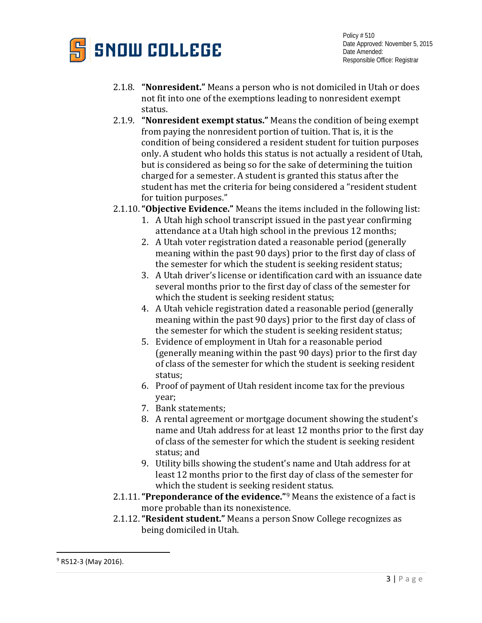

- 2.1.8. **"Nonresident."** Means a person who is not domiciled in Utah or does not fit into one of the exemptions leading to nonresident exempt status.
- 2.1.9. **"Nonresident exempt status."** Means the condition of being exempt from paying the nonresident portion of tuition. That is, it is the condition of being considered a resident student for tuition purposes only. A student who holds this status is not actually a resident of Utah, but is considered as being so for the sake of determining the tuition charged for a semester. A student is granted this status after the student has met the criteria for being considered a "resident student for tuition purposes."
- 2.1.10.**"Objective Evidence."** Means the items included in the following list:
	- 1. A Utah high school transcript issued in the past year confirming attendance at a Utah high school in the previous 12 months;
	- 2. A Utah voter registration dated a reasonable period (generally meaning within the past 90 days) prior to the first day of class of the semester for which the student is seeking resident status;
	- 3. A Utah driver's license or identification card with an issuance date several months prior to the first day of class of the semester for which the student is seeking resident status;
	- 4. A Utah vehicle registration dated a reasonable period (generally meaning within the past 90 days) prior to the first day of class of the semester for which the student is seeking resident status;
	- 5. Evidence of employment in Utah for a reasonable period (generally meaning within the past 90 days) prior to the first day of class of the semester for which the student is seeking resident status;
	- 6. Proof of payment of Utah resident income tax for the previous year;
	- 7. Bank statements;
	- 8. A rental agreement or mortgage document showing the student's name and Utah address for at least 12 months prior to the first day of class of the semester for which the student is seeking resident status; and
	- 9. Utility bills showing the student's name and Utah address for at least 12 months prior to the first day of class of the semester for which the student is seeking res[id](#page-2-0)ent status.
- 2.1.11.**"Preponderance of the evidence."**<sup>9</sup> Means the existence of a fact is more probable than its nonexistence.
- 2.1.12.**"Resident student."** Means a person Snow College recognizes as being domiciled in Utah.

<span id="page-2-0"></span> $9$  R512-3 (May 2016).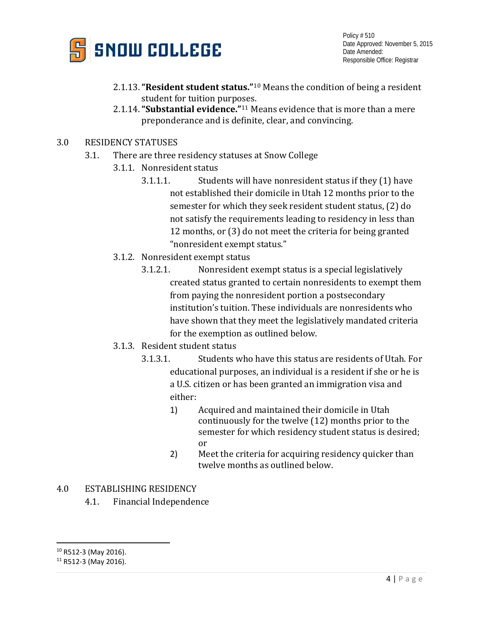

- 2.1.13.**"Resident student status."**[10](#page-3-0) Means the condition of being a resident student for tuition purp[ose](#page-3-1)s.
- 2.1.14.**"Substantial evidence."**<sup>11</sup> Means evidence that is more than a mere preponderance and is definite, clear, and convincing.
- 3.0 RESIDENCY STATUSES
	- 3.1. There are three residency statuses at Snow College
		- 3.1.1. Nonresident status
			- 3.1.1.1. Students will have nonresident status if they (1) have not established their domicile in Utah 12 months prior to the semester for which they seek resident student status, (2) do not satisfy the requirements leading to residency in less than 12 months, or (3) do not meet the criteria for being granted "nonresident exempt status."
		- 3.1.2. Nonresident exempt status
			- 3.1.2.1. Nonresident exempt status is a special legislatively created status granted to certain nonresidents to exempt them from paying the nonresident portion a postsecondary institution's tuition. These individuals are nonresidents who have shown that they meet the legislatively mandated criteria for the exemption as outlined below.
		- 3.1.3. Resident student status
			- 3.1.3.1. Students who have this status are residents of Utah. For educational purposes, an individual is a resident if she or he is a U.S. citizen or has been granted an immigration visa and either:
				- 1) Acquired and maintained their domicile in Utah continuously for the twelve (12) months prior to the semester for which residency student status is desired; or
				- 2) Meet the criteria for acquiring residency quicker than twelve months as outlined below.
- 4.0 ESTABLISHING RESIDENCY
	- 4.1. Financial Independence

<span id="page-3-0"></span> <sup>10</sup> R512-3 (May 2016).

<span id="page-3-1"></span><sup>11</sup> R512-3 (May 2016).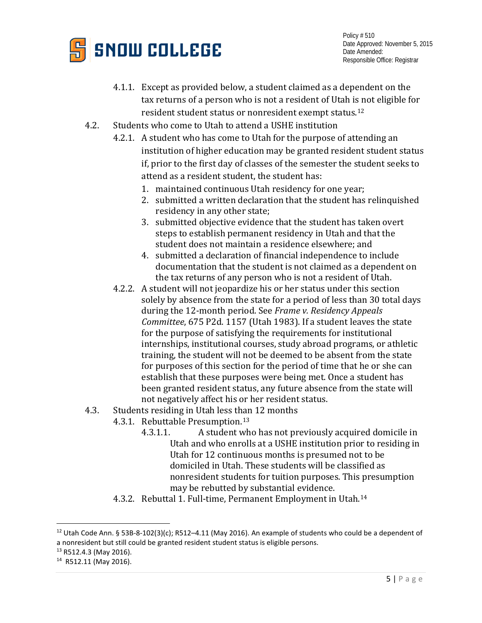

- 4.1.1. Except as provided below, a student claimed as a dependent on the tax returns of a person who is not a resident of Utah is not eligible for resident student status or nonresident exempt status.[12](#page-4-0)
- 4.2. Students who come to Utah to attend a USHE institution
	- 4.2.1. A student who has come to Utah for the purpose of attending an institution of higher education may be granted resident student status if, prior to the first day of classes of the semester the student seeks to attend as a resident student, the student has:
		- 1. maintained continuous Utah residency for one year;
		- 2. submitted a written declaration that the student has relinquished residency in any other state;
		- 3. submitted objective evidence that the student has taken overt steps to establish permanent residency in Utah and that the student does not maintain a residence elsewhere; and
		- 4. submitted a declaration of financial independence to include documentation that the student is not claimed as a dependent on the tax returns of any person who is not a resident of Utah.
	- 4.2.2. A student will not jeopardize his or her status under this section solely by absence from the state for a period of less than 30 total days during the 12-month period. See *Frame v. Residency Appeals Committee*, 675 P2d. 1157 (Utah 1983). If a student leaves the state for the purpose of satisfying the requirements for institutional internships, institutional courses, study abroad programs, or athletic training, the student will not be deemed to be absent from the state for purposes of this section for the period of time that he or she can establish that these purposes were being met. Once a student has been granted resident status, any future absence from the state will not negatively affect his or her resident status.
- 4.3. Students residing in Utah less than 12 months
	- 4.3.1. Rebuttable Presumption.<sup>[13](#page-4-1)</sup><br>4.3.1.1. A student wh
		- 4.3.1.1. A student who has not previously acquired domicile in Utah and who enrolls at a USHE institution prior to residing in Utah for 12 continuous months is presumed not to be domiciled in Utah. These students will be classified as nonresident students for tuition purposes. This presumption may be rebutted by substantial evidence.
	- 4.3.2. Rebuttal 1. Full-time, Permanent Employment in Utah.[14](#page-4-2)

<span id="page-4-0"></span><sup>&</sup>lt;sup>12</sup> Utah Code Ann. § 53B-8-102(3)(c); R512-4.11 (May 2016). An example of students who could be a dependent of a nonresident but still could be granted resident student status is eligible persons.

<span id="page-4-1"></span><sup>13</sup> R512.4.3 (May 2016).

<span id="page-4-2"></span><sup>14</sup> R512.11 (May 2016).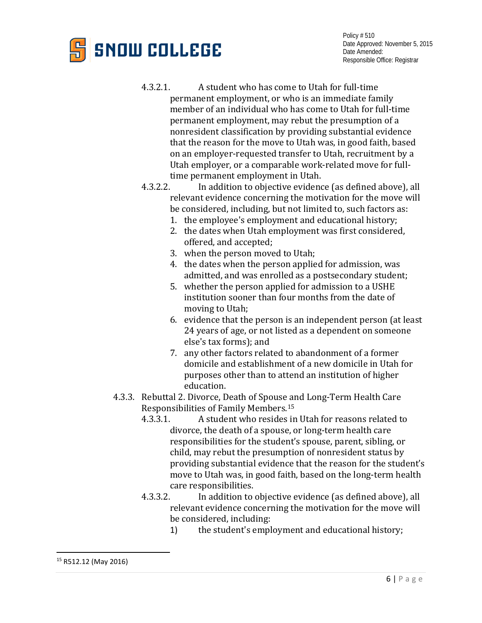# **SNOW COLLEGE**

- 4.3.2.1. A student who has come to Utah for full-time permanent employment, or who is an immediate family member of an individual who has come to Utah for full-time permanent employment, may rebut the presumption of a nonresident classification by providing substantial evidence that the reason for the move to Utah was, in good faith, based on an employer-requested transfer to Utah, recruitment by a Utah employer, or a comparable work-related move for full-
- time permanent employment in Utah.<br>4.3.2.2. In addition to objective evidence In addition to objective evidence (as defined above), all relevant evidence concerning the motivation for the move will be considered, including, but not limited to, such factors as:
	- 1. the employee's employment and educational history;
	- 2. the dates when Utah employment was first considered, offered, and accepted;
	- 3. when the person moved to Utah;
	- 4. the dates when the person applied for admission, was admitted, and was enrolled as a postsecondary student;
	- 5. whether the person applied for admission to a USHE institution sooner than four months from the date of moving to Utah;
	- 6. evidence that the person is an independent person (at least 24 years of age, or not listed as a dependent on someone else's tax forms); and
	- 7. any other factors related to abandonment of a former domicile and establishment of a new domicile in Utah for purposes other than to attend an institution of higher education.
- <span id="page-5-0"></span>4.3.3. Rebuttal 2. Divorce, Death of Spouse and Long-Term Health Care Responsibilities of Family Members.<sup>[15](#page-5-0)</sup><br>4.3.3.1. A student who resides in
	- 4.3.3.1. A student who resides in Utah for reasons related to divorce, the death of a spouse, or long-term health care responsibilities for the student's spouse, parent, sibling, or child, may rebut the presumption of nonresident status by providing substantial evidence that the reason for the student's move to Utah was, in good faith, based on the long-term health care responsibilities.<br>4.3.3.2. In addition to
	- In addition to objective evidence (as defined above), all relevant evidence concerning the motivation for the move will be considered, including:<br>1) the student's empl
		- the student's employment and educational history;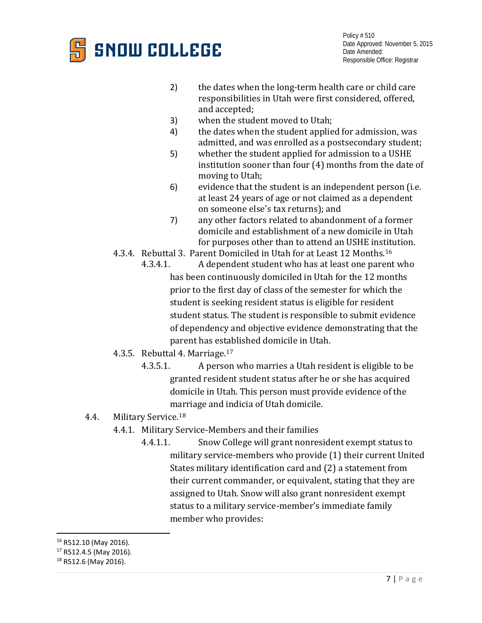

- 2) the dates when the long-term health care or child care responsibilities in Utah were first considered, offered, and accepted;
- 
- 3) when the student moved to Utah;<br>4) the dates when the student applie the dates when the student applied for admission, was admitted, and was enrolled as a postsecondary student;
- 5) whether the student applied for admission to a USHE institution sooner than four (4) months from the date of moving to Utah;
- 6) evidence that the student is an independent person (i.e. at least 24 years of age or not claimed as a dependent on someone else's tax returns); and
- 7) any other factors related to abandonment of a former domicile and establishment of a new domicile in Utah for purposes other than to attend an USHE institution.
- 4.3.4. Rebuttal 3. Parent Domiciled in Utah for at Least 12 Months.<sup>[16](#page-6-0)</sup><br>4.3.4.1. A dependent student who has at least one parent
	- A dependent student who has at least one parent who has been continuously domiciled in Utah for the 12 months prior to the first day of class of the semester for which the student is seeking resident status is eligible for resident student status. The student is responsible to submit evidence of dependency and objective evidence demonstrating that the parent has established domicile in Utah.
- 4.3.5. Rebuttal 4. Marriage.[17](#page-6-1)
	- 4.3.5.1. A person who marries a Utah resident is eligible to be granted resident student status after he or she has acquired domicile in Utah. This person must provide evidence of the marriage and indicia of Utah domicile.
- 4.4. Military Service.[18](#page-6-2)
	- 4.4.1. Military Service-Members and their families
		- 4.4.1.1. Snow College will grant nonresident exempt status to military service-members who provide (1) their current United States military identification card and (2) a statement from their current commander, or equivalent, stating that they are assigned to Utah. Snow will also grant nonresident exempt status to a military service-member's immediate family member who provides:

<span id="page-6-0"></span> <sup>16</sup> R512.10 (May 2016).

<span id="page-6-1"></span><sup>17</sup> R512.4.5 (May 2016).

<span id="page-6-2"></span><sup>18</sup> R512.6 (May 2016).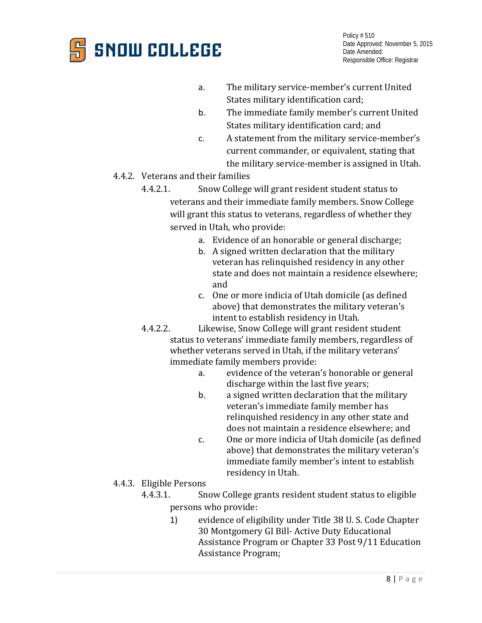

- a. The military service-member's current United States military identification card;
- b. The immediate family member's current United States military identification card; and
- c. A statement from the military service-member's current commander, or equivalent, stating that the military service-member is assigned in Utah.
- 4.4.2. Veterans and their families
	- 4.4.2.1. Snow College will grant resident student status to veterans and their immediate family members. Snow College will grant this status to veterans, regardless of whether they served in Utah, who provide:
		- a. Evidence of an honorable or general discharge;
		- b. A signed written declaration that the military veteran has relinquished residency in any other state and does not maintain a residence elsewhere; and
		- c. One or more indicia of Utah domicile (as defined above) that demonstrates the military veteran's intent to establish residency in Utah.
	- 4.4.2.2. Likewise, Snow College will grant resident student status to veterans' immediate family members, regardless of whether veterans served in Utah, if the military veterans' immediate family members provide:
		- evidence of the veteran's honorable or general discharge within the last five years;
		- b. a signed written declaration that the military veteran's immediate family member has relinquished residency in any other state and does not maintain a residence elsewhere; and
		- c. One or more indicia of Utah domicile (as defined above) that demonstrates the military veteran's immediate family member's intent to establish residency in Utah.
- 4.4.3. Eligible Persons<br>4.4.3.1. Sn
	- 4.4.3.1. Snow College grants resident student status to eligible persons who provide:
		- 1) evidence of eligibility under Title 38 U. S. Code Chapter 30 Montgomery GI Bill- Active Duty Educational Assistance Program or Chapter 33 Post 9/11 Education Assistance Program;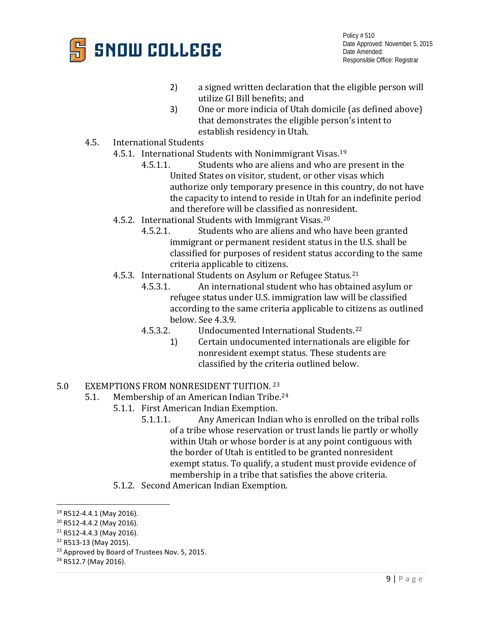

- 2) a signed written declaration that the eligible person will utilize GI Bill benefits; and
- 3) One or more indicia of Utah domicile (as defined above) that demonstrates the eligible person's intent to establish residency in Utah.
- 4.5. International Students
	- 4.5.1. International Students with Nonimmigrant Visas.<sup>[19](#page-8-0)</sup><br>4.5.1.1. Students who are aliens and who are
		- Students who are aliens and who are present in the United States on visitor, student, or other visas which authorize only temporary presence in this country, do not have the capacity to intend to reside in Utah for an indefinite period and therefore will be classified as nonresident.
	- 4.5.2. International Students with Immigrant Visas.<sup>[20](#page-8-1)</sup><br>4.5.2.1. Students who are aliens and who
		- Students who are aliens and who have been granted immigrant or permanent resident status in the U.S. shall be classified for purposes of resident status according to the same criteria applicable to citizens.
	- 4.5.3. International Students on Asylum or Refugee Status.<sup>[21](#page-8-2)</sup><br>4.5.3.1. An international student who has obtain
		- An international student who has obtained asylum or refugee status under U.S. immigration law will be classified according to the same criteria applicable to citizens as outlined below. See 4.3.9.<br>4.5.3.2. Undocum
		- 4.5.3.2. Undocumented International Students[.22](#page-8-3)
			- 1) Certain undocumented internationals are eligible for nonresident exempt status. These students are classified by the criteria outlined below.

### 5.0 EXEMPTIONS FROM NONRESIDENT TUITION. 23<br>5.1. Membership of an American Indian Tribe.

- Membership of an American Indian Tri[be.](#page-8-4)<sup>[24](#page-8-5)</sup>
	- 5.1.1. First American Indian Exemption.<br>5.1.1.1. Any American Indian
		- Any American Indian who is enrolled on the tribal rolls of a tribe whose reservation or trust lands lie partly or wholly within Utah or whose border is at any point contiguous with the border of Utah is entitled to be granted nonresident exempt status. To qualify, a student must provide evidence of membership in a tribe that satisfies the above criteria.
	- 5.1.2. Second American Indian Exemption.

<span id="page-8-0"></span> <sup>19</sup> R512-4.4.1 (May 2016).

<span id="page-8-1"></span><sup>20</sup> R512-4.4.2 (May 2016).

<span id="page-8-2"></span><sup>21</sup> R512-4.4.3 (May 2016).

<span id="page-8-3"></span><sup>22</sup> R513-13 (May 2015).

<span id="page-8-5"></span><span id="page-8-4"></span><sup>&</sup>lt;sup>23</sup> Approved by Board of Trustees Nov. 5, 2015.<br><sup>24</sup> R512.7 (May 2016).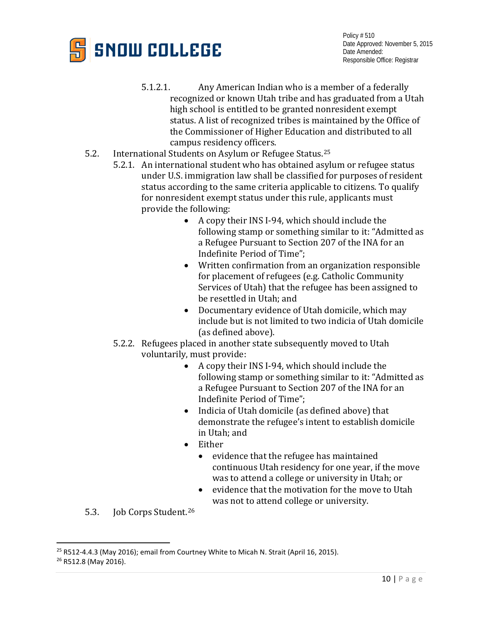

- 5.1.2.1. Any American Indian who is a member of a federally recognized or known Utah tribe and has graduated from a Utah high school is entitled to be granted nonresident exempt status. A list of recognized tribes is maintained by the Office of the Commissioner of Higher Education and distributed to all campus residency officers.
- 5.2. International Students on Asylum or Refugee Status.[25](#page-9-0)
	- 5.2.1. An international student who has obtained asylum or refugee status under U.S. immigration law shall be classified for purposes of resident status according to the same criteria applicable to citizens. To qualify for nonresident exempt status under this rule, applicants must provide the following:
		- A copy their INS I-94, which should include the following stamp or something similar to it: "Admitted as a Refugee Pursuant to Section 207 of the INA for an Indefinite Period of Time";
		- Written confirmation from an organization responsible for placement of refugees (e.g. Catholic Community Services of Utah) that the refugee has been assigned to be resettled in Utah; and
		- Documentary evidence of Utah domicile, which may include but is not limited to two indicia of Utah domicile (as defined above).
	- 5.2.2. Refugees placed in another state subsequently moved to Utah voluntarily, must provide:
		- A copy their INS I-94, which should include the following stamp or something similar to it: "Admitted as a Refugee Pursuant to Section 207 of the INA for an Indefinite Period of Time";
		- Indicia of Utah domicile (as defined above) that demonstrate the refugee's intent to establish domicile in Utah; and
		- Either
			- evidence that the refugee has maintained continuous Utah residency for one year, if the move was to attend a college or university in Utah; or
			- evidence that the motivation for the move to Utah was not to attend college or university.
- 5.3. Job Corps Student.[26](#page-9-1)

<span id="page-9-0"></span> $25$  R512-4.4.3 (May 2016); email from Courtney White to Micah N. Strait (April 16, 2015).

<span id="page-9-1"></span><sup>&</sup>lt;sup>26</sup> R512.8 (May 2016).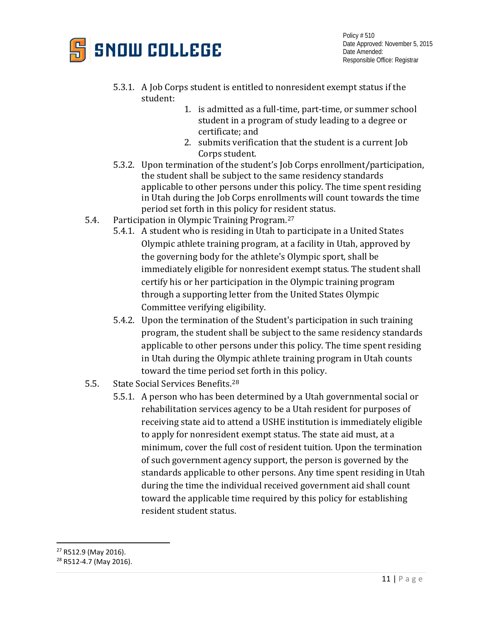

- 5.3.1. A Job Corps student is entitled to nonresident exempt status if the student:
	- 1. is admitted as a full-time, part-time, or summer school student in a program of study leading to a degree or certificate; and
	- 2. submits verification that the student is a current Job Corps student.
- 5.3.2. Upon termination of the student's Job Corps enrollment/participation, the student shall be subject to the same residency standards applicable to other persons under this policy. The time spent residing in Utah during the Job Corps enrollments will count towards the time period set forth in this policy for resident status.
- 5.4. Participation in Olympic Training Program.[27](#page-10-0)
	- 5.4.1. A student who is residing in Utah to participate in a United States Olympic athlete training program, at a facility in Utah, approved by the governing body for the athlete's Olympic sport, shall be immediately eligible for nonresident exempt status. The student shall certify his or her participation in the Olympic training program through a supporting letter from the United States Olympic Committee verifying eligibility.
	- 5.4.2. Upon the termination of the Student's participation in such training program, the student shall be subject to the same residency standards applicable to other persons under this policy. The time spent residing in Utah during the Olympic athlete training program in Utah counts toward the time period set forth in this policy.
- 5.5. State Social Services Benefits.[28](#page-10-1)
	- 5.5.1. A person who has been determined by a Utah governmental social or rehabilitation services agency to be a Utah resident for purposes of receiving state aid to attend a USHE institution is immediately eligible to apply for nonresident exempt status. The state aid must, at a minimum, cover the full cost of resident tuition. Upon the termination of such government agency support, the person is governed by the standards applicable to other persons. Any time spent residing in Utah during the time the individual received government aid shall count toward the applicable time required by this policy for establishing resident student status.

<span id="page-10-0"></span> <sup>27</sup> R512.9 (May 2016).

<span id="page-10-1"></span><sup>28</sup> R512-4.7 (May 2016).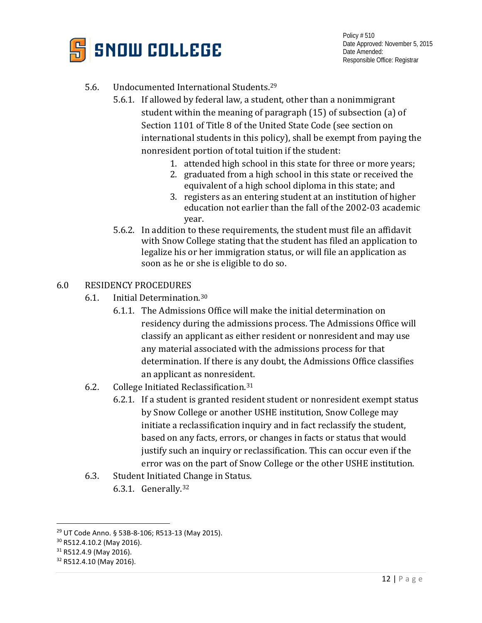

### 5.6. Undocumented International Students[.29](#page-11-0)

- 5.6.1. If allowed by federal law, a student, other than a nonimmigrant student within the meaning of paragraph (15) of subsection (a) of Section 1101 of Title 8 of the United State Code (see section on international students in this policy), shall be exempt from paying the nonresident portion of total tuition if the student:
	- 1. attended high school in this state for three or more years;
	- 2. graduated from a high school in this state or received the equivalent of a high school diploma in this state; and
	- 3. registers as an entering student at an institution of higher education not earlier than the fall of the 2002-03 academic year.
- 5.6.2. In addition to these requirements, the student must file an affidavit with Snow College stating that the student has filed an application to legalize his or her immigration status, or will file an application as soon as he or she is eligible to do so.

#### 6.0 RESIDENCY PROCEDURES

- 6.1. Initial Determination.[30](#page-11-1)
	- 6.1.1. The Admissions Office will make the initial determination on residency during the admissions process. The Admissions Office will classify an applicant as either resident or nonresident and may use any material associated with the admissions process for that determination. If there is any doubt, the Admissions Office classifies an applicant as nonresident.
- 6.2. College Initiated Reclassification.[31](#page-11-2)
	- 6.2.1. If a student is granted resident student or nonresident exempt status by Snow College or another USHE institution, Snow College may initiate a reclassification inquiry and in fact reclassify the student, based on any facts, errors, or changes in facts or status that would justify such an inquiry or reclassification. This can occur even if the error was on the part of Snow College or the other USHE institution.
- 6.3. Student Initiated Change in Status.
	- 6.3.1. Generally.[32](#page-11-3)

<span id="page-11-0"></span> <sup>29</sup> UT Code Anno. § 53B-8-106; R513-13 (May 2015).

<span id="page-11-1"></span><sup>30</sup> R512.4.10.2 (May 2016).

<span id="page-11-2"></span><sup>&</sup>lt;sup>31</sup> R512.4.9 (May 2016).

<span id="page-11-3"></span><sup>&</sup>lt;sup>32</sup> R512.4.10 (May 2016).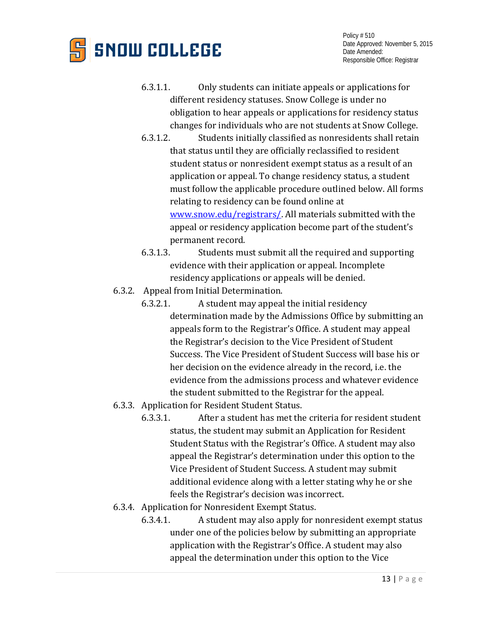

- 6.3.1.1. Only students can initiate appeals or applications for different residency statuses. Snow College is under no obligation to hear appeals or applications for residency status changes for individuals who are not students at Snow College.
- 6.3.1.2. Students initially classified as nonresidents shall retain that status until they are officially reclassified to resident student status or nonresident exempt status as a result of an application or appeal. To change residency status, a student must follow the applicable procedure outlined below. All forms relating to residency can be found online at [www.snow.edu/registrars/.](http://www.snow.edu/registrars/) All materials submitted with the appeal or residency application become part of the student's permanent record.
- 6.3.1.3. Students must submit all the required and supporting evidence with their application or appeal. Incomplete residency applications or appeals will be denied.
- 6.3.2. Appeal from Initial Determination.<br>6.3.2.1. A student may appeal
	- 6.3.2.1. A student may appeal the initial residency determination made by the Admissions Office by submitting an appeals form to the Registrar's Office. A student may appeal the Registrar's decision to the Vice President of Student Success. The Vice President of Student Success will base his or her decision on the evidence already in the record, i.e. the evidence from the admissions process and whatever evidence the student submitted to the Registrar for the appeal.
- 6.3.3. Application for Resident Student Status.
	- 6.3.3.1. After a student has met the criteria for resident student status, the student may submit an Application for Resident Student Status with the Registrar's Office. A student may also appeal the Registrar's determination under this option to the Vice President of Student Success. A student may submit additional evidence along with a letter stating why he or she feels the Registrar's decision was incorrect.
- 6.3.4. Application for Nonresident Exempt Status.
	- 6.3.4.1. A student may also apply for nonresident exempt status under one of the policies below by submitting an appropriate application with the Registrar's Office. A student may also appeal the determination under this option to the Vice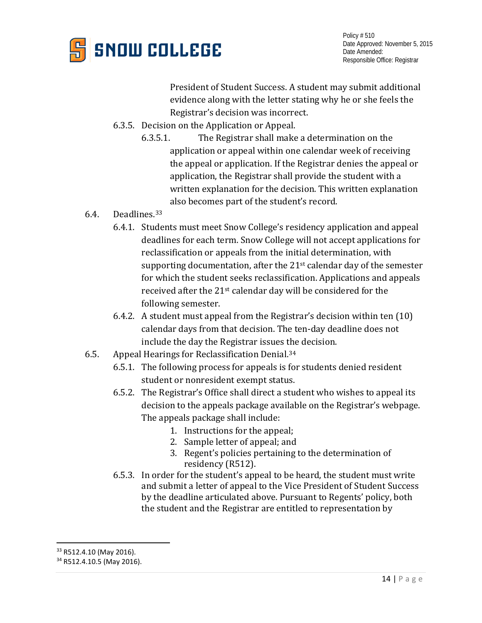

President of Student Success. A student may submit additional evidence along with the letter stating why he or she feels the Registrar's decision was incorrect.

- 6.3.5. Decision on the Application or Appeal.
	- 6.3.5.1. The Registrar shall make a determination on the application or appeal within one calendar week of receiving the appeal or application. If the Registrar denies the appeal or application, the Registrar shall provide the student with a written explanation for the decision. This written explanation also becomes part of the student's record.
- 6.4. Deadlines.[33](#page-13-0)
	- 6.4.1. Students must meet Snow College's residency application and appeal deadlines for each term. Snow College will not accept applications for reclassification or appeals from the initial determination, with supporting documentation, after the 21<sup>st</sup> calendar day of the semester for which the student seeks reclassification. Applications and appeals received after the 21st calendar day will be considered for the following semester.
	- 6.4.2. A student must appeal from the Registrar's decision within ten (10) calendar days from that decision. The ten-day deadline does not include the day the Registrar issues the decision.
- 6.5. Appeal Hearings for Reclassification Denial.[34](#page-13-1)
	- 6.5.1. The following process for appeals is for students denied resident student or nonresident exempt status.
	- 6.5.2. The Registrar's Office shall direct a student who wishes to appeal its decision to the appeals package available on the Registrar's webpage. The appeals package shall include:
		- 1. Instructions for the appeal;
		- 2. Sample letter of appeal; and
		- 3. Regent's policies pertaining to the determination of residency (R512).
	- 6.5.3. In order for the student's appeal to be heard, the student must write and submit a letter of appeal to the Vice President of Student Success by the deadline articulated above. Pursuant to Regents' policy, both the student and the Registrar are entitled to representation by

<span id="page-13-0"></span><sup>&</sup>lt;sup>33</sup> R512.4.10 (May 2016).

<span id="page-13-1"></span><sup>&</sup>lt;sup>34</sup> R512.4.10.5 (May 2016).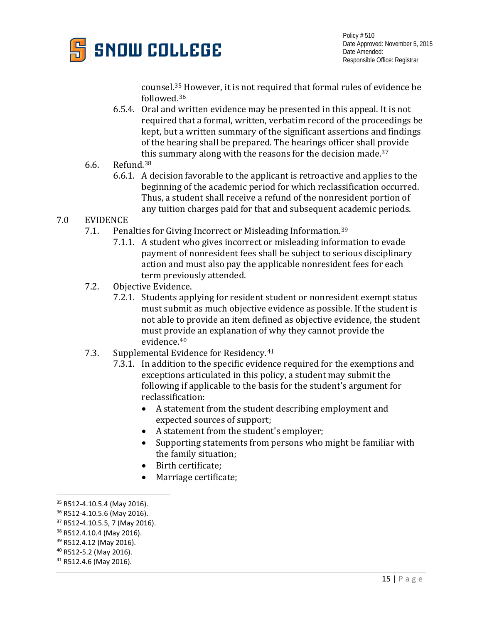

counsel.[35](#page-14-0) However, it is not required that formal rules of evidence be followed.[36](#page-14-1)

- 6.5.4. Oral and written evidence may be presented in this appeal. It is not required that a formal, written, verbatim record of the proceedings be kept, but a written summary of the significant assertions and findings of the hearing shall be prepared. The hearings officer shall provide [thi](#page-14-3)s summary along with the reasons for the decision made.[37](#page-14-2)
- 6.6. Refund.38
	- 6.6.1. A decision favorable to the applicant is retroactive and applies to the beginning of the academic period for which reclassification occurred. Thus, a student shall receive a refund of the nonresident portion of any tuition charges paid for that and subsequent academic periods.

# 7.0 EVIDENCE<br>7.1. Pen

- Penalties for Giving Incorrect or Misleading Information.<sup>[39](#page-14-4)</sup>
	- 7.1.1. A student who gives incorrect or misleading information to evade payment of nonresident fees shall be subject to serious disciplinary action and must also pay the applicable nonresident fees for each term previously attended.
- 7.2. Objective Evidence.
	- 7.2.1. Students applying for resident student or nonresident exempt status must submit as much objective evidence as possible. If the student is not able to provide an item defined as objective evidence, the student must provide an explanation of why they cannot provide the evidence.[40](#page-14-5)
- 7.3. Supplemental Evidence for Residency.[41](#page-14-6)
	- 7.3.1. In addition to the specific evidence required for the exemptions and exceptions articulated in this policy, a student may submit the following if applicable to the basis for the student's argument for reclassification:
		- A statement from the student describing employment and expected sources of support;
		- A statement from the student's employer;
		- Supporting statements from persons who might be familiar with the family situation;
		- Birth certificate;
		- Marriage certificate;

<span id="page-14-0"></span> <sup>35</sup> R512-4.10.5.4 (May 2016).

<span id="page-14-1"></span><sup>36</sup> R512-4.10.5.6 (May 2016).

<span id="page-14-2"></span><sup>37</sup> R512-4.10.5.5, 7 (May 2016).

<span id="page-14-3"></span><sup>38</sup> R512.4.10.4 (May 2016).

<span id="page-14-4"></span><sup>&</sup>lt;sup>39</sup> R512.4.12 (May 2016).

<span id="page-14-5"></span><sup>40</sup> R512-5.2 (May 2016).

<span id="page-14-6"></span><sup>41</sup> R512.4.6 (May 2016).